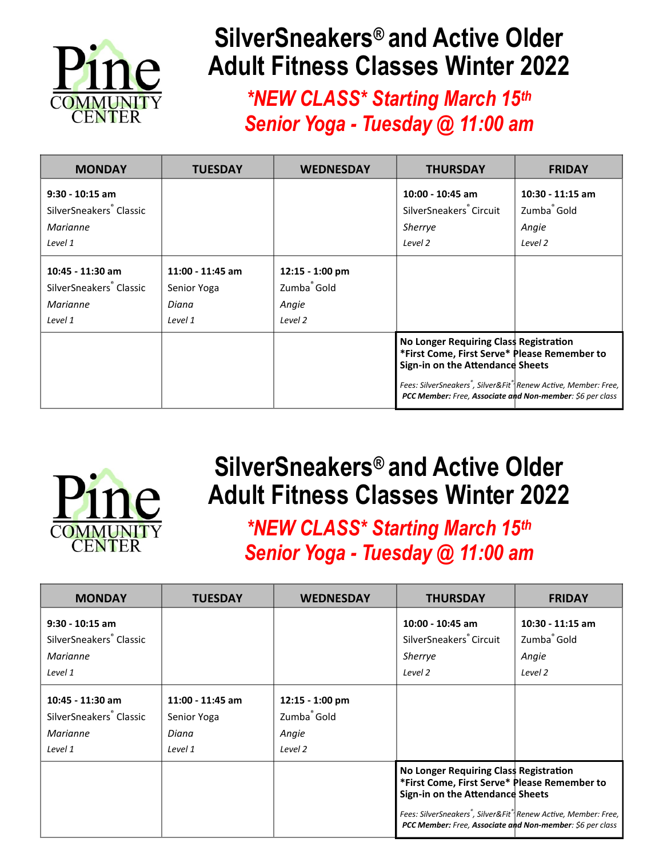

## **SilverSneakers® and Active Older Adult Fitness Classes Winter 2022**

*\*NEW CLASS\* Starting March 15th Senior Yoga - Tuesday @ 11:00 am* 

| <b>MONDAY</b>                                                                   | TUESDAY                                               | <b>WEDNESDAY</b>                                               | <b>THURSDAY</b>                                                                                                                                                                                                                                                                    | <b>FRIDAY</b>                                                   |
|---------------------------------------------------------------------------------|-------------------------------------------------------|----------------------------------------------------------------|------------------------------------------------------------------------------------------------------------------------------------------------------------------------------------------------------------------------------------------------------------------------------------|-----------------------------------------------------------------|
| $9:30 - 10:15$ am<br>SilverSneakers <sup>®</sup> Classic<br>Marianne<br>Level 1 |                                                       |                                                                | 10:00 - 10:45 am<br>SilverSneakers Circuit<br>Sherrye<br>Level 2                                                                                                                                                                                                                   | 10:30 - 11:15 am<br>Zumba <sup>®</sup> Gold<br>Angie<br>Level 2 |
| 10:45 - 11:30 am<br>SilverSneakers <sup>®</sup> Classic<br>Marianne<br>Level 1  | $11:00 - 11:45$ am<br>Senior Yoga<br>Diana<br>Level 1 | 12:15 - 1:00 pm<br>Zumba <sup>®</sup> Gold<br>Angie<br>Level 2 |                                                                                                                                                                                                                                                                                    |                                                                 |
|                                                                                 |                                                       |                                                                | No Longer Requiring Class Registration<br>*First Come, First Serve* Please Remember to<br>Sign-in on the Attendance Sheets<br>Fees: SilverSneakers <sup>®</sup> , Silver&Fit <sup>®</sup> Renew Active, Member: Free,<br>PCC Member: Free, Associate and Non-member: \$6 per class |                                                                 |



## **SilverSneakers® and Active Older Adult Fitness Classes Winter 2022**

*\*NEW CLASS\* Starting March 15th Senior Yoga - Tuesday @ 11:00 am* 

| <b>MONDAY</b>                                                                          | <b>TUESDAY</b>                                        | <b>WEDNESDAY</b>                                                 | <b>THURSDAY</b>                                                                                                                                                                                                                                                                    | <b>FRIDAY</b>                                                     |
|----------------------------------------------------------------------------------------|-------------------------------------------------------|------------------------------------------------------------------|------------------------------------------------------------------------------------------------------------------------------------------------------------------------------------------------------------------------------------------------------------------------------------|-------------------------------------------------------------------|
| $9:30 - 10:15$ am<br>SilverSneakers <sup>®</sup> Classic<br><i>Marianne</i><br>Level 1 |                                                       |                                                                  | 10:00 - 10:45 am<br>SilverSneakers Circuit<br>Sherrye<br>Level 2                                                                                                                                                                                                                   | $10:30 - 11:15$ am<br>Zumba <sup>®</sup> Gold<br>Angie<br>Level 2 |
| 10:45 - 11:30 am<br>SilverSneakers <sup>®</sup> Classic<br>Marianne<br>Level 1         | $11:00 - 11:45$ am<br>Senior Yoga<br>Diana<br>Level 1 | $12:15 - 1:00$ pm<br>Zumba <sup>®</sup> Gold<br>Angie<br>Level 2 |                                                                                                                                                                                                                                                                                    |                                                                   |
|                                                                                        |                                                       |                                                                  | No Longer Requiring Class Registration<br>*First Come, First Serve* Please Remember to<br>Sign-in on the Attendance Sheets<br>Fees: SilverSneakers <sup>®</sup> , Silver&Fit <sup>®</sup> Renew Active, Member: Free,<br>PCC Member: Free, Associate and Non-member: \$6 per class |                                                                   |